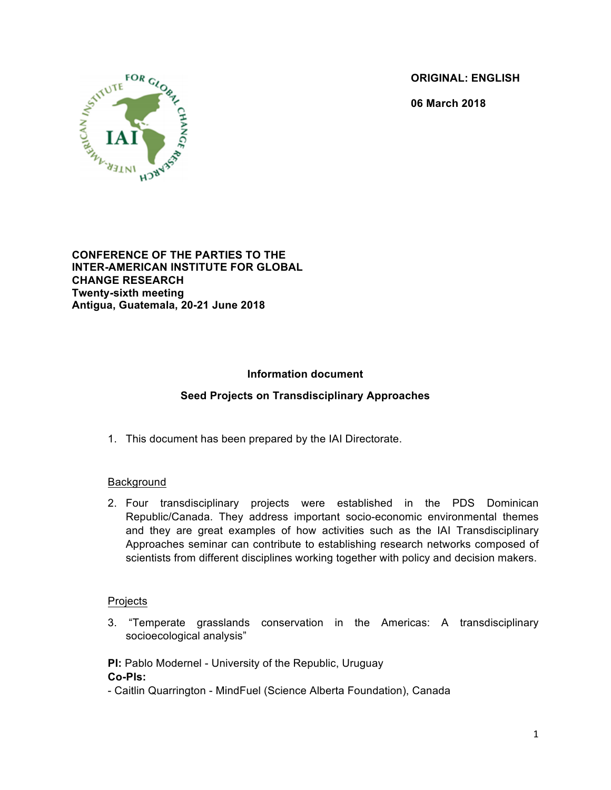**ORIGINAL: ENGLISH**

**06 March 2018**



**CONFERENCE OF THE PARTIES TO THE INTER-AMERICAN INSTITUTE FOR GLOBAL CHANGE RESEARCH Twenty-sixth meeting Antigua, Guatemala, 20-21 June 2018**

# **Information document**

## **Seed Projects on Transdisciplinary Approaches**

1. This document has been prepared by the IAI Directorate.

#### Background

2. Four transdisciplinary projects were established in the PDS Dominican Republic/Canada. They address important socio-economic environmental themes and they are great examples of how activities such as the IAI Transdisciplinary Approaches seminar can contribute to establishing research networks composed of scientists from different disciplines working together with policy and decision makers.

#### **Projects**

3. "Temperate grasslands conservation in the Americas: A transdisciplinary socioecological analysis"

**PI:** Pablo Modernel - University of the Republic, Uruguay **Co-PIs:** 

- Caitlin Quarrington - MindFuel (Science Alberta Foundation), Canada